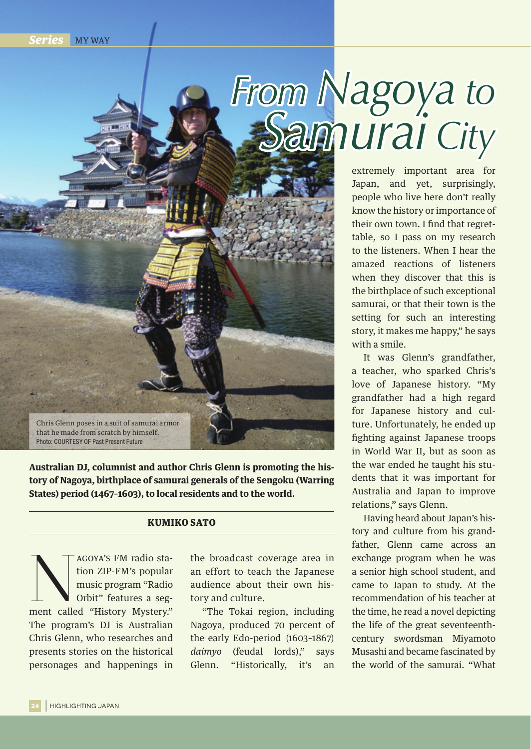**Series** MY WAY

## *From Nagoya to Samurai City*

extremely important area for Japan, and yet, surprisingly, people who live here don't really know the history or importance of their own town. I find that regrettable, so I pass on my research to the listeners. When I hear the amazed reactions of listeners when they discover that this is the birthplace of such exceptional samurai, or that their town is the setting for such an interesting story, it makes me happy," he says with a smile.

It was Glenn's grandfather, a teacher, who sparked Chris's love of Japanese history. "My grandfather had a high regard for Japanese history and culture. Unfortunately, he ended up fighting against Japanese troops in World War II, but as soon as the war ended he taught his students that it was important for Australia and Japan to improve relations," says Glenn.

Having heard about Japan's history and culture from his grandfather, Glenn came across an exchange program when he was a senior high school student, and came to Japan to study. At the recommendation of his teacher at the time, he read a novel depicting the life of the great seventeenthcentury swordsman Miyamoto Musashi and became fascinated by the world of the samurai. "What

Chris Glenn poses in a suit of samurai armor that he made from scratch by himself. Photo: COURTESY OF Past Present Future

**Australian DJ, columnist and author Chris Glenn is promoting the history of Nagoya, birthplace of samurai generals of the Sengoku (Warring States) period (1467–1603), to local residents and to the world.** 

## KUMIKO SATO

Magoya's FM radio station ZIP-FM's popular music program "Radio Orbit" features a segment called "History Mystery." tion ZIP-FM's popular music program "Radio Orbit" features a seg-The program's DJ is Australian Chris Glenn, who researches and presents stories on the historical personages and happenings in

the broadcast coverage area in an effort to teach the Japanese audience about their own history and culture.

"The Tokai region, including Nagoya, produced 70 percent of the early Edo-period (1603-1867) daimyo (feudal lords)," says Glenn. "Historically, it's an